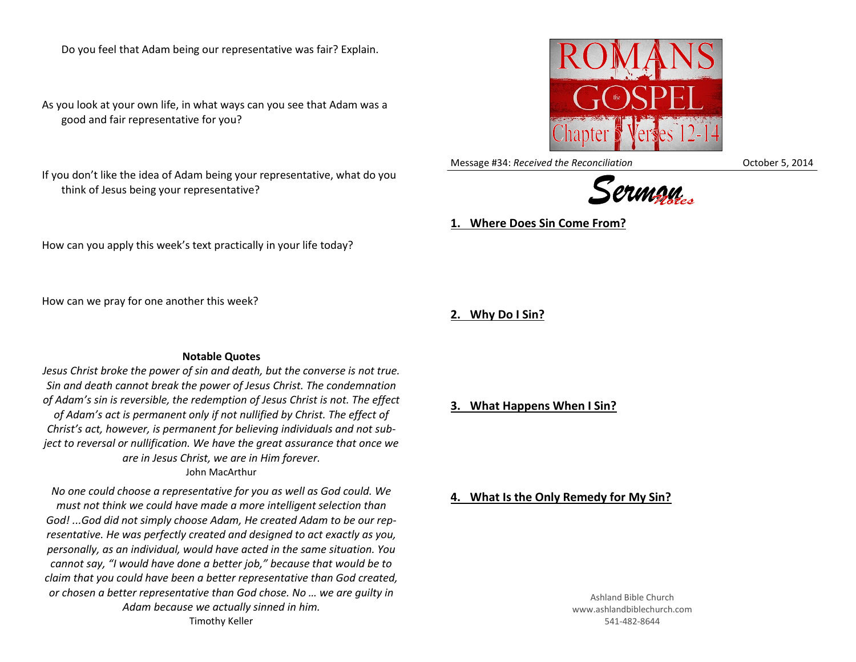Do you feel that Adam being our representative was fair? Explain.

As you look at your own life, in what ways can you see that Adam was a good and fair representative for you?

If you don't like the idea of Adam being your representative, what do you think of Jesus being your representative?

How can you apply this week's text practically in your life today?

How can we pray for one another this week?

**Notable Quotes**

*Jesus Christ broke the power of sin and death, but the converse is not true. Sin and death cannot break the power of Jesus Christ. The condemnation of Adam's sin is reversible, the redemption of Jesus Christ is not. The effect of Adam's act is permanent only if not nullified by Christ. The effect of Christ's act, however, is permanent for believing individuals and not subject to reversal or nullification. We have the great assurance that once we are in Jesus Christ, we are in Him forever.* John MacArthur

*No one could choose a representative for you as well as God could. We must not think we could have made a more intelligent selection than God! ...God did not simply choose Adam, He created Adam to be our representative. He was perfectly created and designed to act exactly as you, personally, as an individual, would have acted in the same situation. You cannot say, "I would have done a better job," because that would be to claim that you could have been a better representative than God created, or chosen a better representative than God chose. No … we are guilty in Adam because we actually sinned in him.* Timothy Keller

**3. What Happens When I Sin?**

**1. Where Does Sin Come From?**

Ashland Bible Church www.ashlandbiblechurch.com 541-482-8644





**2. Why Do I Sin?**

**4. What Is the Only Remedy for My Sin?**